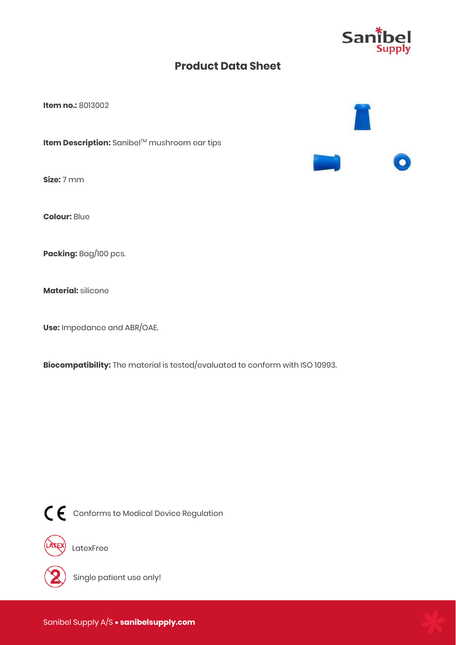

**Item no.:** 8013002

**Item Description:** Sanibel™ mushroom ear tips

**Size:** 7 mm

**Colour:** Blue

**Packing:** Bag/100 pcs.

**Material:** silicone

**Use:** Impedance and ABR/OAE.

**Biocompatibility:** The material is tested/evaluated to conform with ISO 10993.



CE Conforms to Medical Device Regulation



LatexFree



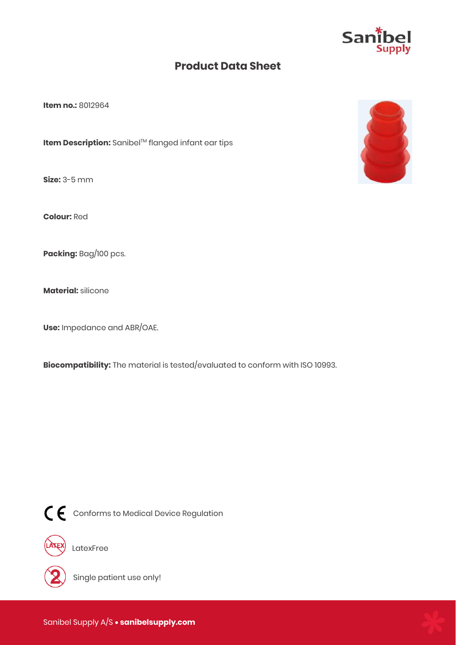

**Item no.:** 8012964

**Item Description:** Sanibel™ flanged infant ear tips

**Size:** 3-5 mm

**Colour:** Red

**Packing:** Bag/100 pcs.

**Material:** silicone

**Use:** Impedance and ABR/OAE.

**Biocompatibility:** The material is tested/evaluated to conform with ISO 10993.



CE Conforms to Medical Device Regulation



LatexFree



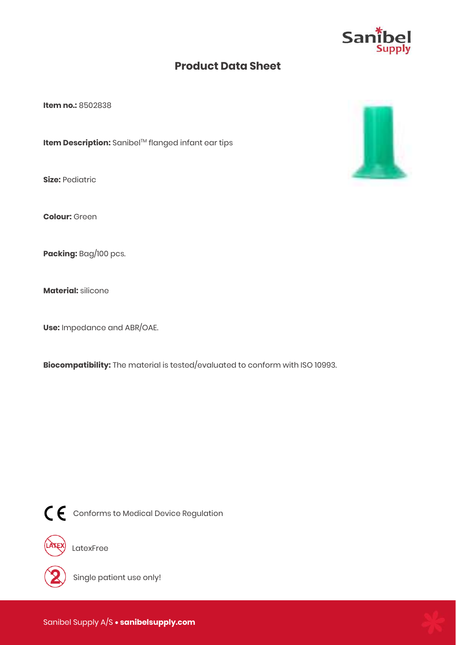

**Item no.:** 8502838

**Item Description:** Sanibel™ flanged infant ear tips

**Size:** Pediatric

**Colour:** Green

**Packing:** Bag/100 pcs.

**Material:** silicone

**Use:** Impedance and ABR/OAE.

**Biocompatibility:** The material is tested/evaluated to conform with ISO 10993.



CE Conforms to Medical Device Regulation



LatexFree



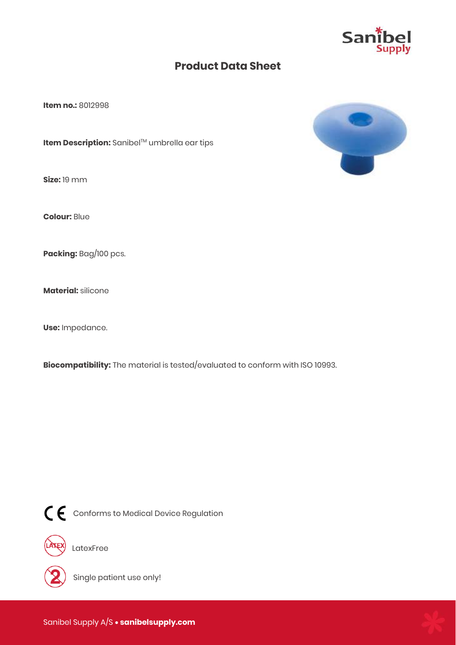

**Item no.:** 8012998

**Item Description:** Sanibel™ umbrella ear tips

**Size:** 19 mm

**Colour:** Blue

**Packing:** Bag/100 pcs.

**Material:** silicone

**Use:** Impedance.

**Biocompatibility:** The material is tested/evaluated to conform with ISO 10993.



CE Conforms to Medical Device Regulation



LatexFree



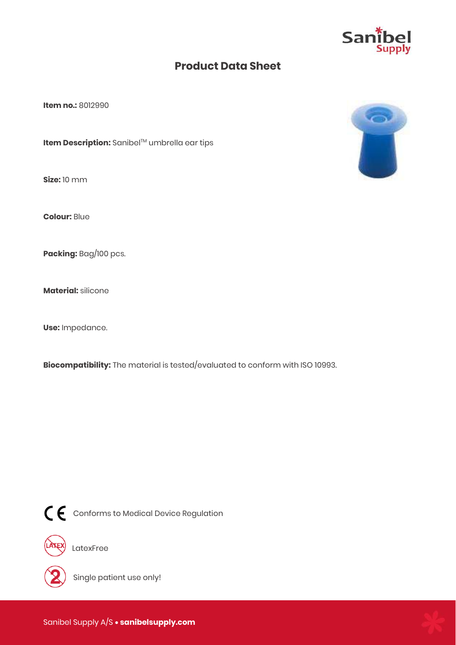

**Item no.:** 8012990

**Item Description:** Sanibel™ umbrella ear tips

**Size:** 10 mm

**Colour:** Blue

**Packing:** Bag/100 pcs.

**Material:** silicone

**Use:** Impedance.

**Biocompatibility:** The material is tested/evaluated to conform with ISO 10993.



CE Conforms to Medical Device Regulation



EX) LatexFree



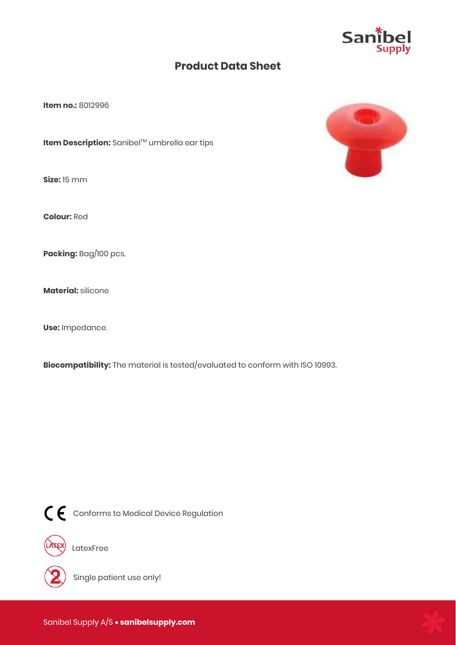

**Item no.:** 8012996

**Item Description:** Sanibel™ umbrella ear tips

**Size:** 15 mm

**Colour:** Red

**Packing:** Bag/100 pcs.

**Material:** silicone

**Use:** Impedance.

**Biocompatibility:** The material is tested/evaluated to conform with ISO 10993.



CE Conforms to Medical Device Regulation



LatexFree



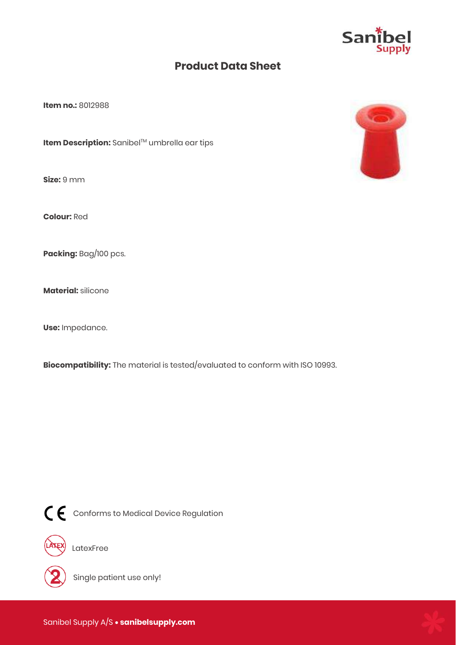

**Item no.:** 8012988

**Item Description:** Sanibel™ umbrella ear tips

**Size:** 9 mm

**Colour:** Red

**Packing:** Bag/100 pcs.

**Material:** silicone

**Use:** Impedance.

**Biocompatibility:** The material is tested/evaluated to conform with ISO 10993.



CE Conforms to Medical Device Regulation



LatexFree



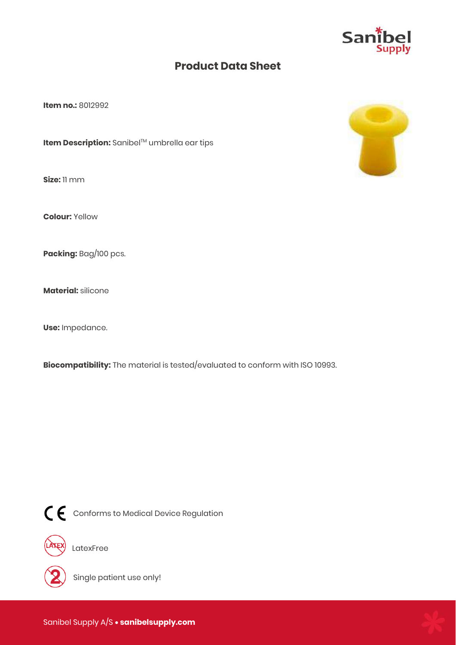

**Item no.:** 8012992

**Item Description:** Sanibel™ umbrella ear tips

**Size:** 11 mm

**Colour:** Yellow

**Packing:** Bag/100 pcs.

**Material:** silicone

**Use:** Impedance.

**Biocompatibility:** The material is tested/evaluated to conform with ISO 10993.



CE Conforms to Medical Device Regulation



LatexFree



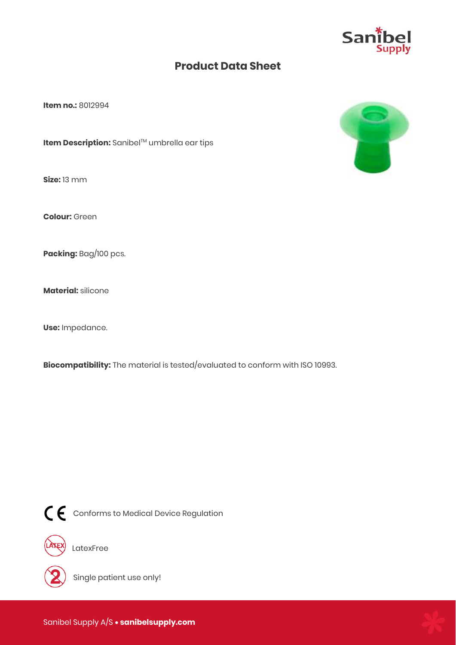

**Item no.:** 8012994

**Item Description:** Sanibel™ umbrella ear tips

**Size:** 13 mm

**Colour:** Green

**Packing:** Bag/100 pcs.

**Material:** silicone

**Use:** Impedance.

**Biocompatibility:** The material is tested/evaluated to conform with ISO 10993.



 $\textsf{C}\,\textsf{C}$  Conforms to Medical Device Regulation



LatexFree



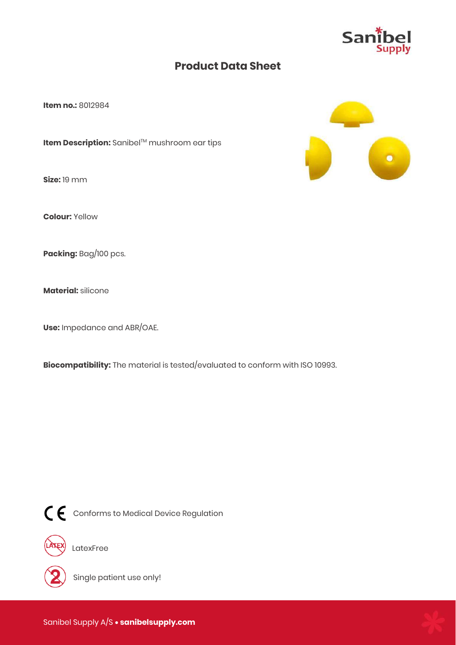

**Item no.:** 8012984

**Item Description:** Sanibel™ mushroom ear tips

**Size:** 19 mm

**Colour:** Yellow

**Packing:** Bag/100 pcs.

**Material:** silicone

**Use:** Impedance and ABR/OAE.

**Biocompatibility:** The material is tested/evaluated to conform with ISO 10993.



 $\textsf{C}\,\textsf{C}$  Conforms to Medical Device Regulation



LatexFree



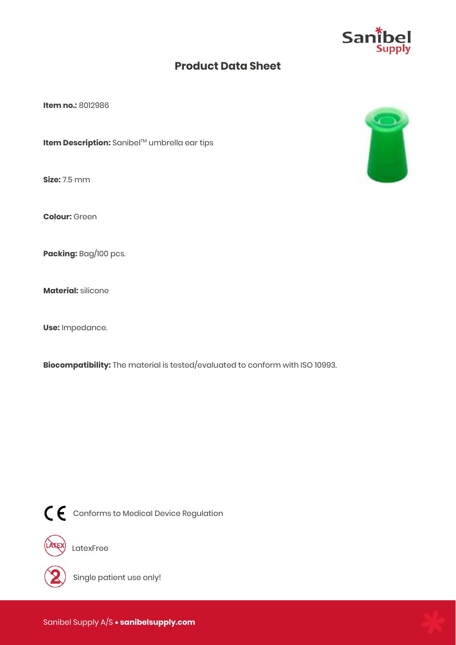

**Item no.:** 8012986

**Item Description:** Sanibel™ umbrella ear tips

**Size:** 7.5 mm

**Colour:** Green

**Packing:** Bag/100 pcs.

**Material:** silicone

**Use:** Impedance.

**Biocompatibility:** The material is tested/evaluated to conform with ISO 10993.



CC Conforms to Medical Device Regulation



LatexFree



Single patient use only!



Sanibel Supply A/S  **sanibelsupply.com**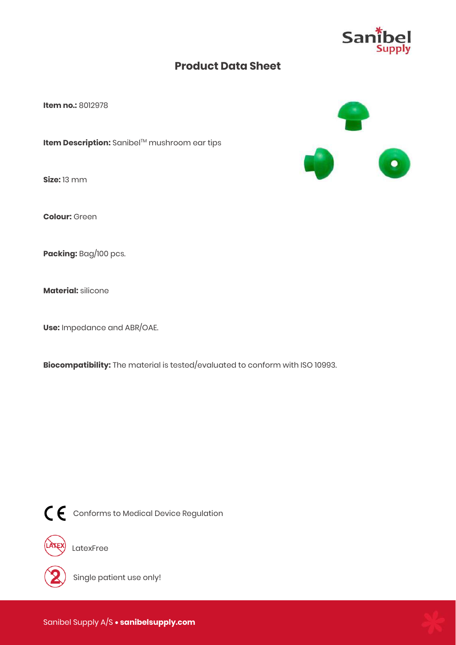

**Item no.:** 8012978

**Item Description:** Sanibel™ mushroom ear tips

**Size:** 13 mm

**Colour:** Green

**Packing:** Bag/100 pcs.

**Material:** silicone

**Use:** Impedance and ABR/OAE.

**Biocompatibility:** The material is tested/evaluated to conform with ISO 10993.



CE Conforms to Medical Device Regulation



LatexFree



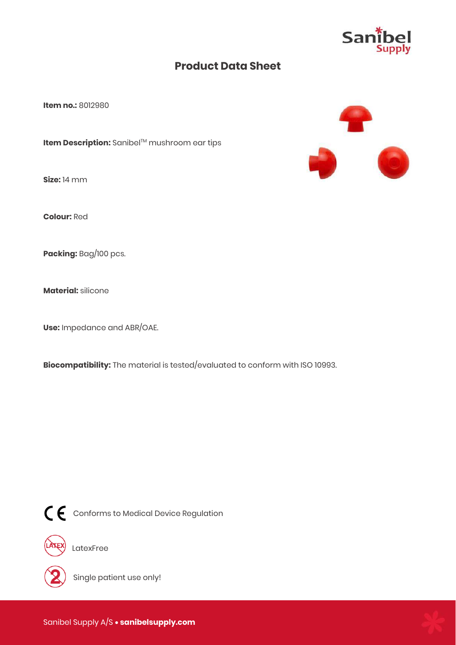

**Item no.:** 8012980

**Item Description:** Sanibel™ mushroom ear tips

**Size:** 14 mm

**Colour:** Red

**Packing:** Bag/100 pcs.

**Material:** silicone

**Use:** Impedance and ABR/OAE.

**Biocompatibility:** The material is tested/evaluated to conform with ISO 10993.



CC Conforms to Medical Device Regulation



LatexFree



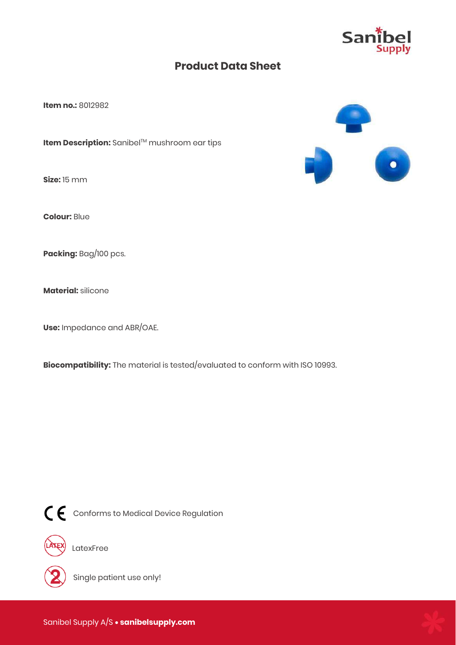

**Item no.:** 8012982

**Item Description:** Sanibel™ mushroom ear tips

**Size:** 15 mm

**Colour:** Blue

**Packing:** Bag/100 pcs.

**Material:** silicone

**Use:** Impedance and ABR/OAE.

**Biocompatibility:** The material is tested/evaluated to conform with ISO 10993.



CC Conforms to Medical Device Regulation



LatexFree



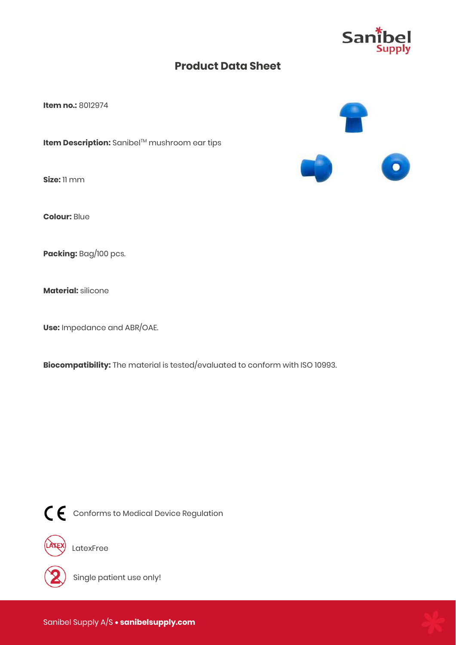

**Item no.:** 8012974

**Item Description:** Sanibel™ mushroom ear tips

**Size:** 11 mm

**Colour:** Blue

**Packing:** Bag/100 pcs.

**Material:** silicone

**Use:** Impedance and ABR/OAE.

**Biocompatibility:** The material is tested/evaluated to conform with ISO 10993.



CE Conforms to Medical Device Regulation



LatexFree



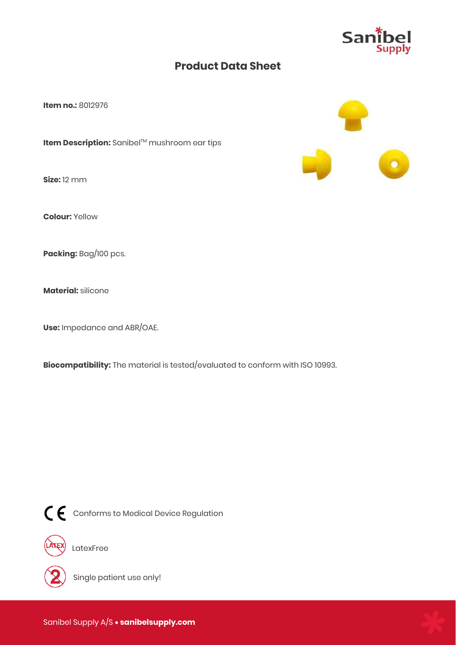

**Item no.:** 8012976

**Item Description:** Sanibel™ mushroom ear tips

**Size:** 12 mm

**Colour:** Yellow

**Packing:** Bag/100 pcs.

**Material:** silicone

**Use:** Impedance and ABR/OAE.

**Biocompatibility:** The material is tested/evaluated to conform with ISO 10993.



CE Conforms to Medical Device Regulation



LatexFree



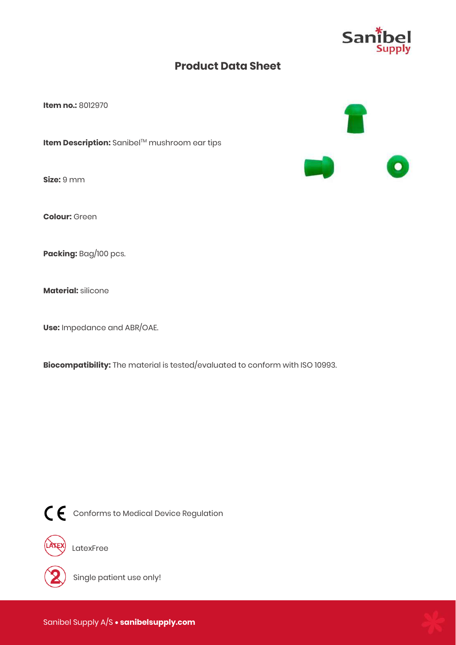

**Item no.:** 8012970

**Item Description:** Sanibel™ mushroom ear tips

**Size:** 9 mm

**Colour:** Green

**Packing:** Bag/100 pcs.

**Material:** silicone

**Use:** Impedance and ABR/OAE.

**Biocompatibility:** The material is tested/evaluated to conform with ISO 10993.



CE Conforms to Medical Device Regulation



LatexFree



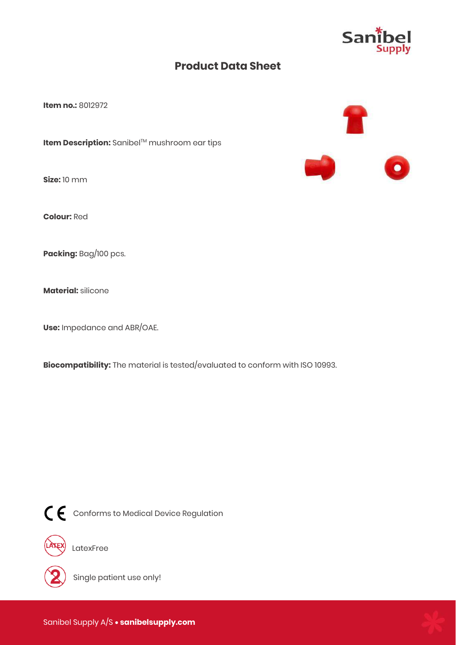

**Item no.:** 8012972

**Item Description:** Sanibel™ mushroom ear tips

**Size:** 10 mm

**Colour:** Red

**Packing:** Bag/100 pcs.

**Material:** silicone

**Use:** Impedance and ABR/OAE.

**Biocompatibility:** The material is tested/evaluated to conform with ISO 10993.



CE Conforms to Medical Device Regulation



LatexFree



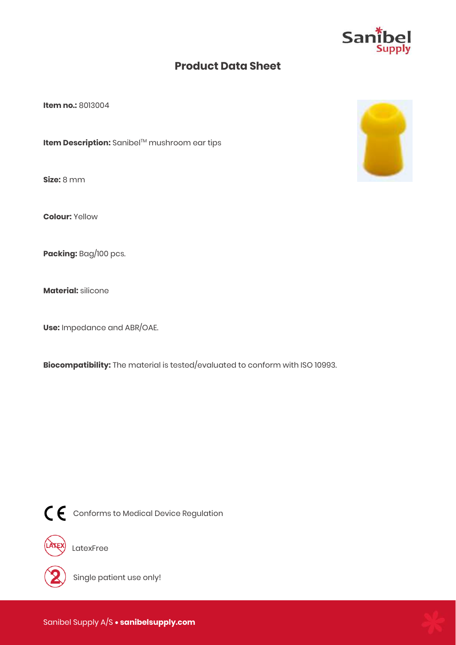

**Item no.:** 8013004

**Item Description:** Sanibel™ mushroom ear tips

**Size:** 8 mm

**Colour:** Yellow

**Packing:** Bag/100 pcs.

**Material:** silicone

**Use:** Impedance and ABR/OAE.

**Biocompatibility:** The material is tested/evaluated to conform with ISO 10993.



CE Conforms to Medical Device Regulation



LatexFree



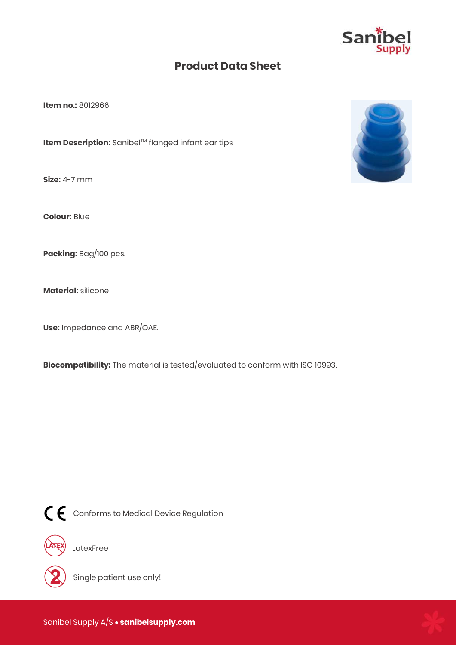

**Item no.:** 8012966

**Item Description:** Sanibel™ flanged infant ear tips

**Size:** 4-7 mm

**Colour:** Blue

**Packing:** Bag/100 pcs.

**Material:** silicone

**Use:** Impedance and ABR/OAE.

**Biocompatibility:** The material is tested/evaluated to conform with ISO 10993.



CE Conforms to Medical Device Regulation



LatexFree